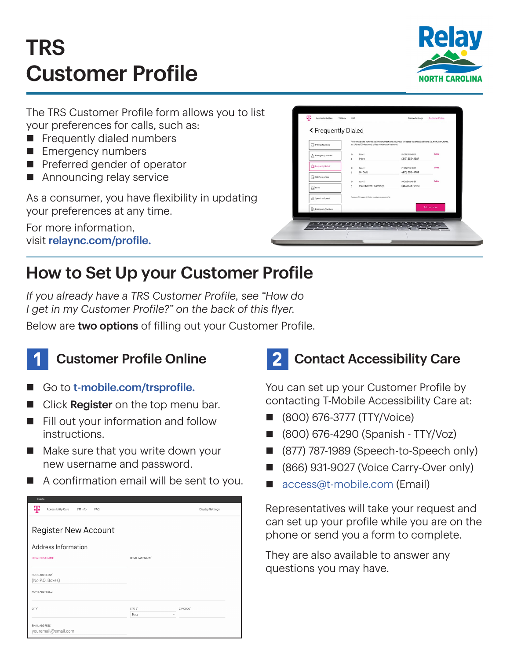# TRS Customer Profile



The TRS Customer Profile form allows you to list your preferences for calls, such as:

- $\blacksquare$  Frequently dialed numbers
- **Emergency numbers**
- $\blacksquare$  Preferred gender of operator
- $\blacksquare$  Announcing relay service

As a consumer, you have flexibility in updating your preferences at any time.

For more information, visit [relaync.com/profile](http://relaync.com/profile).

| < Frequently Dialed<br>(1) IP Relay Numbers | etc.). Up to 100 frequently dialed numbers can be stored. | Frequently dialed numbers are phone numbers that you would like speed dial or easy access to (i.e. mom, work, home, |               |
|---------------------------------------------|-----------------------------------------------------------|---------------------------------------------------------------------------------------------------------------------|---------------|
| A Emergency Location                        | NAME<br>ID<br>1<br>Mom                                    | PHONE NUMBER<br>$(312)$ 555-2587                                                                                    | <b>Delate</b> |
| The Frequently Dialed                       | NAME<br>10<br>$\overline{2}$<br>Dr. Gold                  | PHONE NUMBER<br>(410) 555-4789                                                                                      | Delete        |
| <b>Call Preferences</b>                     | 10<br><b>NAME</b>                                         | PHONE NUMBER                                                                                                        | <b>Oelete</b> |
| $\boxed{\frac{1}{2}}$ Notes                 | Main Street Pharmacy<br>3                                 | (443) 555-0120                                                                                                      |               |
| Speech to Speech                            | There are 3 Frequently Dialed Numbers in your profile.    |                                                                                                                     |               |
| <b>D</b> <sub>O</sub> Emergency Numbers     |                                                           |                                                                                                                     | Add number    |

## How to Set Up your Customer Profile

*If you already have a TRS Customer Profile, see "How do I get in my Customer Profile?" on the back of this flyer.*

Below are two options of filling out your Customer Profile.



#### **Customer Profile Online**

- Go to [t-mobile.com/trsprofile.](http://t-mobile.com/trsprofile)
- Click Register on the top menu bar.
- $\blacksquare$  Fill out your information and follow instructions.
- $\blacksquare$  Make sure that you write down your new username and password.
- $\blacksquare$  A confirmation email will be sent to you.

| copairon                                          |                    |                         |
|---------------------------------------------------|--------------------|-------------------------|
| ሞ<br>Accessibility Care<br>911 Info<br><b>FAQ</b> |                    | <b>Display Settings</b> |
|                                                   |                    |                         |
| <b>Register New Account</b>                       |                    |                         |
| Address Information                               |                    |                         |
| LEGAL FIRST NAME'                                 | LEGAL LAST NAME'   |                         |
|                                                   |                    |                         |
| HOME ADDRESS 1"                                   |                    |                         |
| (No P.O. Boxes)                                   |                    |                         |
| HOME ADDRESS 2                                    |                    |                         |
| CITY <sup>*</sup>                                 | STATE <sup>®</sup> | ZIP CODE'               |
|                                                   | ٠<br>State         |                         |
| <b>EMAIL ADDRESS®</b><br>youremail@email.com      |                    |                         |

## 2 Contact Accessibility Care

You can set up your Customer Profile by contacting T-Mobile Accessibility Care at:

- n (800) 676-3777 (TTY/Voice)
- n (800) 676-4290 (Spanish TTY/Voz)
- (877) 787-1989 (Speech-to-Speech only)
- (866) 931-9027 (Voice Carry-Over only)
- [access@t-mobile.com](mailto:access%40t-mobile.com?subject=) (Email)

Representatives will take your request and can set up your profile while you are on the phone or send you a form to complete.

They are also available to answer any questions you may have.